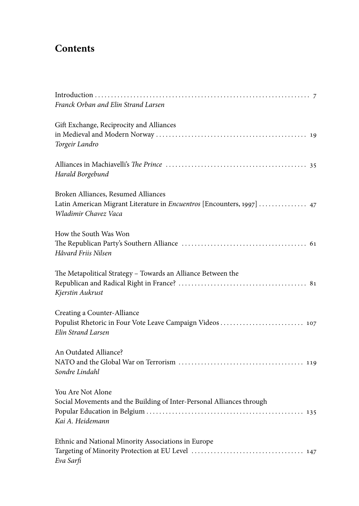## **Contents**